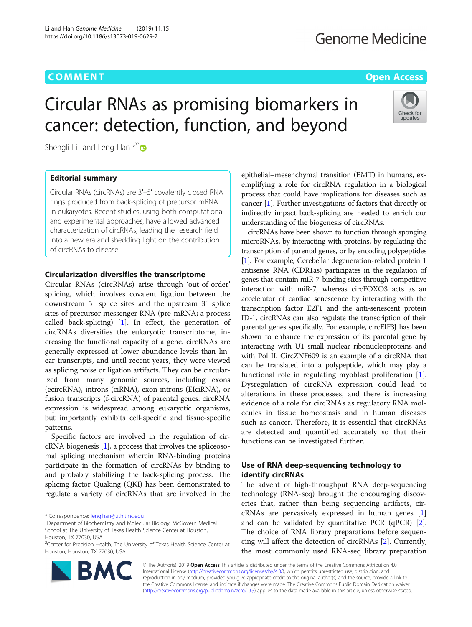# **COMMENT COMMENT COMMENT COMMENT**

Check for updates

# Circular RNAs as promising biomarkers in cancer: detection, function, and beyond

Shengli Li<sup>1</sup> and Leng Han<sup>1,2[\\*](http://orcid.org/0000-0002-7380-2640)</sup>

# Editorial summary

Circular RNAs (circRNAs) are 3′–5′ covalently closed RNA rings produced from back-splicing of precursor mRNA in eukaryotes. Recent studies, using both computational and experimental approaches, have allowed advanced characterization of circRNAs, leading the research field into a new era and shedding light on the contribution of circRNAs to disease.

## Circularization diversifies the transcriptome

Circular RNAs (circRNAs) arise through 'out-of-order' splicing, which involves covalent ligation between the downstream 5′ splice sites and the upstream 3′ splice sites of precursor messenger RNA (pre-mRNA; a process called back-splicing) [\[1](#page-2-0)]. In effect, the generation of circRNAs diversifies the eukaryotic transcriptome, increasing the functional capacity of a gene. circRNAs are generally expressed at lower abundance levels than linear transcripts, and until recent years, they were viewed as splicing noise or ligation artifacts. They can be circularized from many genomic sources, including exons (ecircRNA), introns (ciRNA), exon-introns (EIciRNA), or fusion transcripts (f-circRNA) of parental genes. circRNA expression is widespread among eukaryotic organisms, but importantly exhibits cell-specific and tissue-specific patterns.

Specific factors are involved in the regulation of circRNA biogenesis [[1](#page-2-0)], a process that involves the spliceosomal splicing mechanism wherein RNA-binding proteins participate in the formation of circRNAs by binding to and probably stabilizing the back-splicing process. The splicing factor Quaking (QKI) has been demonstrated to regulate a variety of circRNAs that are involved in the

\* Correspondence: [leng.han@uth.tmc.edu](mailto:leng.han@uth.tmc.edu) <sup>1</sup>

<sup>&</sup>lt;sup>2</sup>Center for Precision Health, The University of Texas Health Science Center at Houston, Houston, TX 77030, USA



epithelial–mesenchymal transition (EMT) in humans, exemplifying a role for circRNA regulation in a biological process that could have implications for diseases such as cancer [[1](#page-2-0)]. Further investigations of factors that directly or indirectly impact back-splicing are needed to enrich our understanding of the biogenesis of circRNAs.

circRNAs have been shown to function through sponging microRNAs, by interacting with proteins, by regulating the transcription of parental genes, or by encoding polypeptides [[1](#page-2-0)]. For example, Cerebellar degeneration-related protein 1 antisense RNA (CDR1as) participates in the regulation of genes that contain miR-7-binding sites through competitive interaction with miR-7, whereas circFOXO3 acts as an accelerator of cardiac senescence by interacting with the transcription factor E2F1 and the anti-senescent protein ID-1. circRNAs can also regulate the transcription of their parental genes specifically. For example, circEIF3J has been shown to enhance the expression of its parental gene by interacting with U1 small nuclear ribonucleoproteins and with Pol II. CircZNF609 is an example of a circRNA that can be translated into a polypeptide, which may play a functional role in regulating myoblast proliferation [\[1](#page-2-0)]. Dysregulation of circRNA expression could lead to alterations in these processes, and there is increasing evidence of a role for circRNAs as regulatory RNA molecules in tissue homeostasis and in human diseases such as cancer. Therefore, it is essential that circRNAs are detected and quantified accurately so that their functions can be investigated further.

# Use of RNA deep-sequencing technology to identify circRNAs

The advent of high-throughput RNA deep-sequencing technology (RNA-seq) brought the encouraging discoveries that, rather than being sequencing artifacts, circRNAs are pervasively expressed in human genes [\[1](#page-2-0)] and can be validated by quantitative PCR (qPCR) [\[2](#page-2-0)]. The choice of RNA library preparations before sequencing will affect the detection of circRNAs [[2](#page-2-0)]. Currently, the most commonly used RNA-seq library preparation

© The Author(s). 2019 Open Access This article is distributed under the terms of the Creative Commons Attribution 4.0 International License [\(http://creativecommons.org/licenses/by/4.0/](http://creativecommons.org/licenses/by/4.0/)), which permits unrestricted use, distribution, and reproduction in any medium, provided you give appropriate credit to the original author(s) and the source, provide a link to the Creative Commons license, and indicate if changes were made. The Creative Commons Public Domain Dedication waiver [\(http://creativecommons.org/publicdomain/zero/1.0/](http://creativecommons.org/publicdomain/zero/1.0/)) applies to the data made available in this article, unless otherwise stated.

Department of Biochemistry and Molecular Biology, McGovern Medical School at The University of Texas Health Science Center at Houston, Houston, TX 77030, USA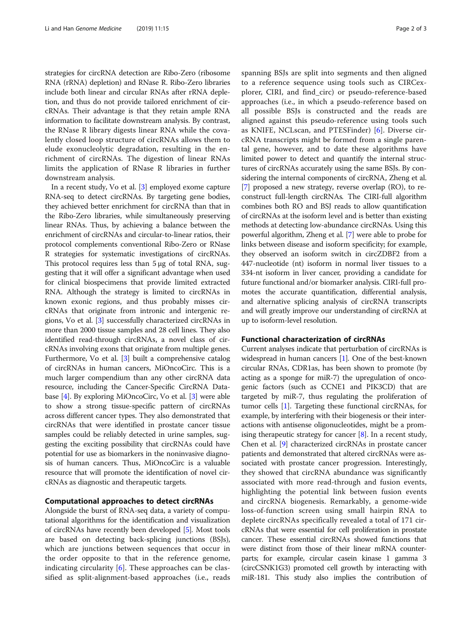strategies for circRNA detection are Ribo-Zero (ribosome RNA (rRNA) depletion) and RNase R. Ribo-Zero libraries include both linear and circular RNAs after rRNA depletion, and thus do not provide tailored enrichment of circRNAs. Their advantage is that they retain ample RNA information to facilitate downstream analysis. By contrast, the RNase R library digests linear RNA while the covalently closed loop structure of circRNAs allows them to elude exonucleolytic degradation, resulting in the enrichment of circRNAs. The digestion of linear RNAs limits the application of RNase R libraries in further downstream analysis.

In a recent study, Vo et al. [\[3\]](#page-2-0) employed exome capture RNA-seq to detect circRNAs. By targeting gene bodies, they achieved better enrichment for circRNA than that in the Ribo-Zero libraries, while simultaneously preserving linear RNAs. Thus, by achieving a balance between the enrichment of circRNAs and circular-to-linear ratios, their protocol complements conventional Ribo-Zero or RNase R strategies for systematic investigations of circRNAs. This protocol requires less than 5 μg of total RNA, suggesting that it will offer a significant advantage when used for clinical biospecimens that provide limited extracted RNA. Although the strategy is limited to circRNAs in known exonic regions, and thus probably misses circRNAs that originate from intronic and intergenic regions, Vo et al. [[3](#page-2-0)] successfully characterized circRNAs in more than 2000 tissue samples and 28 cell lines. They also identified read-through circRNAs, a novel class of circRNAs involving exons that originate from multiple genes. Furthermore, Vo et al. [[3\]](#page-2-0) built a comprehensive catalog of circRNAs in human cancers, MiOncoCirc. This is a much larger compendium than any other circRNA data resource, including the Cancer-Specific CircRNA Database [\[4\]](#page-2-0). By exploring MiOncoCirc, Vo et al. [[3](#page-2-0)] were able to show a strong tissue-specific pattern of circRNAs across different cancer types. They also demonstrated that circRNAs that were identified in prostate cancer tissue samples could be reliably detected in urine samples, suggesting the exciting possibility that circRNAs could have potential for use as biomarkers in the noninvasive diagnosis of human cancers. Thus, MiOncoCirc is a valuable resource that will promote the identification of novel circRNAs as diagnostic and therapeutic targets.

# Computational approaches to detect circRNAs

Alongside the burst of RNA-seq data, a variety of computational algorithms for the identification and visualization of circRNAs have recently been developed [\[5\]](#page-2-0). Most tools are based on detecting back-splicing junctions (BSJs), which are junctions between sequences that occur in the order opposite to that in the reference genome, indicating circularity  $[6]$  $[6]$ . These approaches can be classified as split-alignment-based approaches (i.e., reads spanning BSJs are split into segments and then aligned to a reference sequence using tools such as CIRCexplorer, CIRI, and find\_circ) or pseudo-reference-based approaches (i.e., in which a pseudo-reference based on all possible BSJs is constructed and the reads are aligned against this pseudo-reference using tools such as KNIFE, NCLscan, and PTESFinder) [\[6](#page-2-0)]. Diverse circRNA transcripts might be formed from a single parental gene, however, and to date these algorithms have limited power to detect and quantify the internal structures of circRNAs accurately using the same BSJs. By considering the internal components of circRNA, Zheng et al. [[7\]](#page-2-0) proposed a new strategy, reverse overlap (RO), to reconstruct full-length circRNAs. The CIRI-full algorithm combines both RO and BSJ reads to allow quantification of circRNAs at the isoform level and is better than existing methods at detecting low-abundance circRNAs. Using this powerful algorithm, Zheng et al. [\[7](#page-2-0)] were able to probe for links between disease and isoform specificity; for example, they observed an isoform switch in circZDBF2 from a 447-nucleotide (nt) isoform in normal liver tissues to a 334-nt isoform in liver cancer, providing a candidate for future functional and/or biomarker analysis. CIRI-full promotes the accurate quantification, differential analysis, and alternative splicing analysis of circRNA transcripts and will greatly improve our understanding of circRNA at up to isoform-level resolution.

# Functional characterization of circRNAs

Current analyses indicate that perturbation of circRNAs is widespread in human cancers [\[1](#page-2-0)]. One of the best-known circular RNAs, CDR1as, has been shown to promote (by acting as a sponge for miR-7) the upregulation of oncogenic factors (such as CCNE1 and PIK3CD) that are targeted by miR-7, thus regulating the proliferation of tumor cells [[1\]](#page-2-0). Targeting these functional circRNAs, for example, by interfering with their biogenesis or their interactions with antisense oligonucleotides, might be a promising therapeutic strategy for cancer  $[8]$ . In a recent study, Chen et al. [[9](#page-2-0)] characterized circRNAs in prostate cancer patients and demonstrated that altered circRNAs were associated with prostate cancer progression. Interestingly, they showed that circRNA abundance was significantly associated with more read-through and fusion events, highlighting the potential link between fusion events and circRNA biogenesis. Remarkably, a genome-wide loss-of-function screen using small hairpin RNA to deplete circRNAs specifically revealed a total of 171 circRNAs that were essential for cell proliferation in prostate cancer. These essential circRNAs showed functions that were distinct from those of their linear mRNA counterparts; for example, circular casein kinase 1 gamma 3 (circCSNK1G3) promoted cell growth by interacting with miR-181. This study also implies the contribution of